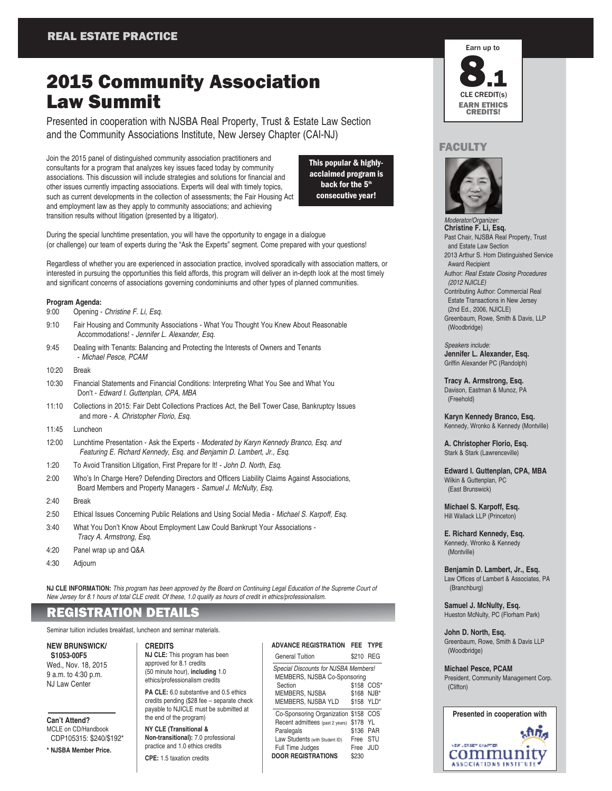# 2015 Community Association Law Summit

Presented in cooperation with NJSBA Real Property, Trust & Estate Law Section and the Community Associations Institute, New Jersey Chapter (CAI-NJ)

Join the 2015 panel of distinguished community association practitioners and consultants for a program that analyzes key issues faced today by community associations. This discussion will include strategies and solutions for financial and other issues currently impacting associations. Experts will deal with timely topics, such as current developments in the collection of assessments; the Fair Housing Act and employment law as they apply to community associations; and achieving transition results without litigation (presented by a litigator).

This popular & highlyacclaimed program is back for the  $5<sup>th</sup>$ consecutive year!

During the special lunchtime presentation, you will have the opportunity to engage in a dialogue (or challenge) our team of experts during the "Ask the Experts" segment. Come prepared with your questions!

Regardless of whether you are experienced in association practice, involved sporadically with association matters, or interested in pursuing the opportunities this field affords, this program will deliver an in-depth look at the most timely and significant concerns of associations governing condominiums and other types of planned communities.

#### **Program Agenda:**

- 9:00 Opening Christine F. Li, Esq.
- 9:10 Fair Housing and Community Associations What You Thought You Knew About Reasonable Accommodations! - Jennifer L. Alexander, Esq.
- 9:45 Dealing with Tenants: Balancing and Protecting the Interests of Owners and Tenants - Michael Pesce, PCAM
- 10:20 Break
- 10:30 Financial Statements and Financial Conditions: Interpreting What You See and What You Don't - Edward I. Guttenplan, CPA, MBA
- 11:10 Collections in 2015: Fair Debt Collections Practices Act, the Bell Tower Case, Bankruptcy Issues and more - A. Christopher Florio, Esq.
- 11:45 Luncheon
- 12:00 Lunchtime Presentation Ask the Experts Moderated by Karyn Kennedy Branco, Esq. and Featuring E. Richard Kennedy, Esq. and Benjamin D. Lambert, Jr., Esq.
- 1:20 To Avoid Transition Litigation, First Prepare for It! John D. North, Esq.
- 2:00 Who's In Charge Here? Defending Directors and Officers Liability Claims Against Associations, Board Members and Property Managers - Samuel J. McNulty, Esq.
- 2:40 Break
- 2:50 Ethical Issues Concerning Public Relations and Using Social Media Michael S. Karpoff, Esq.
- 3:40 What You Don't Know About Employment Law Could Bankrupt Your Associations Tracy A. Armstrong, Esq.
- 4:20 Panel wrap up and Q&A
- 4:30 Adjourn

**NJ CLE INFORMATION:** This program has been approved by the Board on Continuing Legal Education of the Supreme Court of New Jersey for 8.1 hours of total CLE credit. Of these, 1.0 qualify as hours of credit in ethics/professionalism.

## REGISTRATION DETAILS

Seminar tuition includes breakfast, luncheon and seminar materials.

### **NEW BRUNSWICK/**

**S1053-00F5** Wed., Nov. 18, 2015 9 a.m. to 4:30 p.m. NJ Law Center

### **Can't Attend?**

MCLE on CD/Handbook CDP105315: \$240/\$192\*

**\* NJSBA Member Price.**

**CREDITS NJ CLE:** This program has been approved for 8.1 credits (50 minute hour), **including** 1.0

**PA CLE:** 6.0 substantive and 0.5 ethics credits pending (\$28 fee – separate check payable to NJICLE must be submitted at the end of the program)

**NY CLE (Transitional & Non-transitional):** 7.0 professional practice and 1.0 ethics credits

**CPE:** 1.5 taxation credits

| <b>ADVANCE REGISTRATION</b>          |           | FEE TYPE   |  |  |
|--------------------------------------|-----------|------------|--|--|
| <b>General Tuition</b>               | \$210 REG |            |  |  |
| Special Discounts for NJSBA Members! |           |            |  |  |
| MEMBERS, NJSBA Co-Sponsoring         |           |            |  |  |
| Section                              |           | \$158 COS* |  |  |
| MEMBERS, NJSBA                       |           | \$168 NJB* |  |  |
| MEMBERS, NJSBA YLD                   |           | \$158 YLD* |  |  |
| Co-Sponsoring Organization \$158 COS |           |            |  |  |
| Recent admittees (past 2 years)      | \$178 YL  |            |  |  |
| Paralegals                           | \$136 PAR |            |  |  |
| Law Students (with Student ID)       | Free STU  |            |  |  |
| Full Time Judges                     | Free      | JUD        |  |  |
| <b>DOOR REGISTRATIONS</b>            | \$230     |            |  |  |



### FACULTY



Moderator/Organi. **Christine F. Li, Esq.** Past Chair, NJSBA Real Property, Trust and Estate Law Section 2013 Arthur S. Horn Distinguished Service Award Recipient Author: Real Estate Closing Procedures (2012 NJICLE) Contributing Author: Commercial Real Estate Transactions in New Jersey (2nd Ed., 2006, NJICLE) Greenbaum, Rowe, Smith & Davis, LLP (Woodbridge)

Speakers include: **Jennifer L. Alexander, Esq.** Griffin Alexander PC (Randolph)

**Tracy A. Armstrong, Esq.** Davison, Eastman & Munoz, PA (Freehold)

**Karyn Kennedy Branco, Esq.** Kennedy, Wronko & Kennedy (Montville)

**A. Christopher Florio, Esq.** Stark & Stark (Lawrenceville)

**Edward I. Guttenplan, CPA, MBA** Wilkin & Guttenplan, PC (East Brunswick)

**Michael S. Karpoff, Esq.** Hill Wallack LLP (Princeton)

**E. Richard Kennedy, Esq.** Kennedy, Wronko & Kennedy (Montville)

**Benjamin D. Lambert, Jr., Esq.** Law Offices of Lambert & Associates, PA (Branchburg)

**Samuel J. McNulty, Esq.** Hueston McNulty, PC (Florham Park)

**John D. North, Esq.** Greenbaum, Rowe, Smith & Davis LLP (Woodbridge)

**Michael Pesce, PCAM** President, Community Management Corp. (Clifton)



ethics/professionalism credits